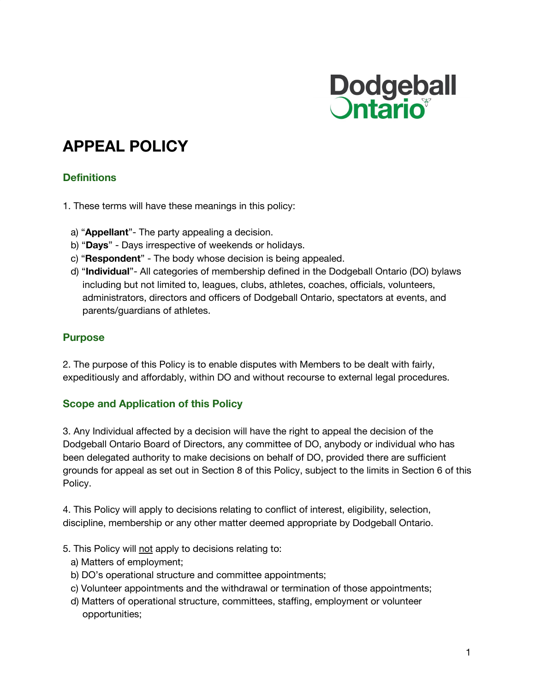

# **APPEAL POLICY**

# **Definitions**

1. These terms will have these meanings in this policy:

- a) "**Appellant**"- The party appealing a decision.
- b) "**Days**" Days irrespective of weekends or holidays.
- c) "**Respondent**" The body whose decision is being appealed.
- d) "**Individual**"- All categories of membership defined in the Dodgeball Ontario (DO) bylaws including but not limited to, leagues, clubs, athletes, coaches, officials, volunteers, administrators, directors and officers of Dodgeball Ontario, spectators at events, and parents/guardians of athletes.

#### **Purpose**

2. The purpose of this Policy is to enable disputes with Members to be dealt with fairly, expeditiously and affordably, within DO and without recourse to external legal procedures.

# **Scope and Application of this Policy**

3. Any Individual affected by a decision will have the right to appeal the decision of the Dodgeball Ontario Board of Directors, any committee of DO, anybody or individual who has been delegated authority to make decisions on behalf of DO, provided there are sufficient grounds for appeal as set out in Section 8 of this Policy, subject to the limits in Section 6 of this Policy.

4. This Policy will apply to decisions relating to conflict of interest, eligibility, selection, discipline, membership or any other matter deemed appropriate by Dodgeball Ontario.

- 5. This Policy will not apply to decisions relating to:
	- a) Matters of employment;
	- b) DO's operational structure and committee appointments;
	- c) Volunteer appointments and the withdrawal or termination of those appointments;
	- d) Matters of operational structure, committees, staffing, employment or volunteer opportunities;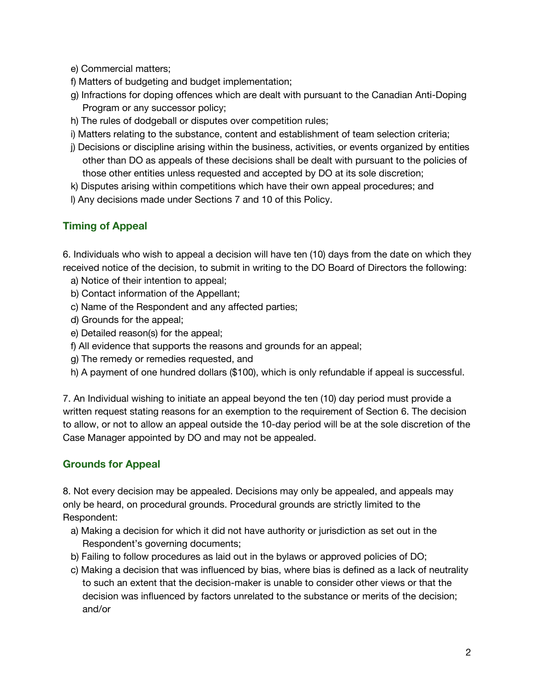e) Commercial matters;

- f) Matters of budgeting and budget implementation;
- g) Infractions for doping offences which are dealt with pursuant to the Canadian Anti-Doping Program or any successor policy;
- h) The rules of dodgeball or disputes over competition rules;
- i) Matters relating to the substance, content and establishment of team selection criteria;
- j) Decisions or discipline arising within the business, activities, or events organized by entities other than DO as appeals of these decisions shall be dealt with pursuant to the policies of those other entities unless requested and accepted by DO at its sole discretion;
- k) Disputes arising within competitions which have their own appeal procedures; and
- l) Any decisions made under Sections 7 and 10 of this Policy.

# **Timing of Appeal**

6. Individuals who wish to appeal a decision will have ten (10) days from the date on which they received notice of the decision, to submit in writing to the DO Board of Directors the following:

- a) Notice of their intention to appeal;
- b) Contact information of the Appellant;
- c) Name of the Respondent and any affected parties;
- d) Grounds for the appeal;
- e) Detailed reason(s) for the appeal;
- f) All evidence that supports the reasons and grounds for an appeal;
- g) The remedy or remedies requested, and
- h) A payment of one hundred dollars (\$100), which is only refundable if appeal is successful.

7. An Individual wishing to initiate an appeal beyond the ten (10) day period must provide a written request stating reasons for an exemption to the requirement of Section 6. The decision to allow, or not to allow an appeal outside the 10-day period will be at the sole discretion of the Case Manager appointed by DO and may not be appealed.

# **Grounds for Appeal**

8. Not every decision may be appealed. Decisions may only be appealed, and appeals may only be heard, on procedural grounds. Procedural grounds are strictly limited to the Respondent:

- a) Making a decision for which it did not have authority or jurisdiction as set out in the Respondent's governing documents;
- b) Failing to follow procedures as laid out in the bylaws or approved policies of DO;
- c) Making a decision that was influenced by bias, where bias is defined as a lack of neutrality to such an extent that the decision-maker is unable to consider other views or that the decision was influenced by factors unrelated to the substance or merits of the decision; and/or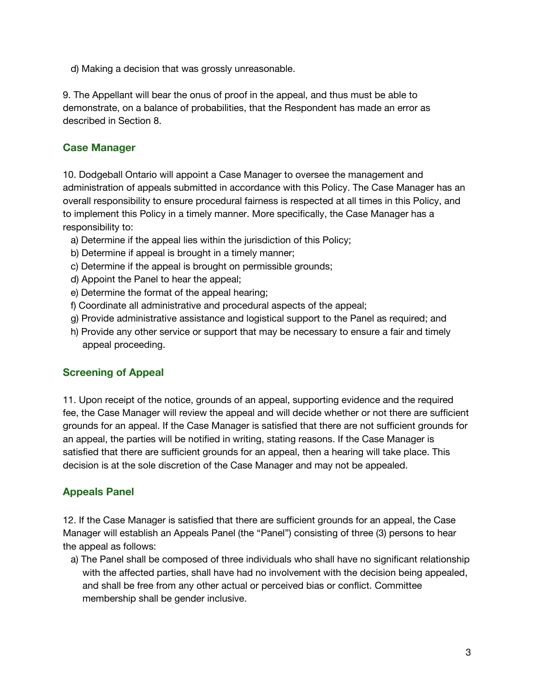d) Making a decision that was grossly unreasonable.

9. The Appellant will bear the onus of proof in the appeal, and thus must be able to demonstrate, on a balance of probabilities, that the Respondent has made an error as described in Section 8.

#### **Case Manager**

10. Dodgeball Ontario will appoint a Case Manager to oversee the management and administration of appeals submitted in accordance with this Policy. The Case Manager has an overall responsibility to ensure procedural fairness is respected at all times in this Policy, and to implement this Policy in a timely manner. More specifically, the Case Manager has a responsibility to:

- a) Determine if the appeal lies within the jurisdiction of this Policy;
- b) Determine if appeal is brought in a timely manner;
- c) Determine if the appeal is brought on permissible grounds;
- d) Appoint the Panel to hear the appeal;
- e) Determine the format of the appeal hearing;
- f) Coordinate all administrative and procedural aspects of the appeal;
- g) Provide administrative assistance and logistical support to the Panel as required; and
- h) Provide any other service or support that may be necessary to ensure a fair and timely appeal proceeding.

#### **Screening of Appeal**

11. Upon receipt of the notice, grounds of an appeal, supporting evidence and the required fee, the Case Manager will review the appeal and will decide whether or not there are sufficient grounds for an appeal. If the Case Manager is satisfied that there are not sufficient grounds for an appeal, the parties will be notified in writing, stating reasons. If the Case Manager is satisfied that there are sufficient grounds for an appeal, then a hearing will take place. This decision is at the sole discretion of the Case Manager and may not be appealed.

# **Appeals Panel**

12. If the Case Manager is satisfied that there are sufficient grounds for an appeal, the Case Manager will establish an Appeals Panel (the "Panel") consisting of three (3) persons to hear the appeal as follows:

a) The Panel shall be composed of three individuals who shall have no significant relationship with the affected parties, shall have had no involvement with the decision being appealed, and shall be free from any other actual or perceived bias or conflict. Committee membership shall be gender inclusive.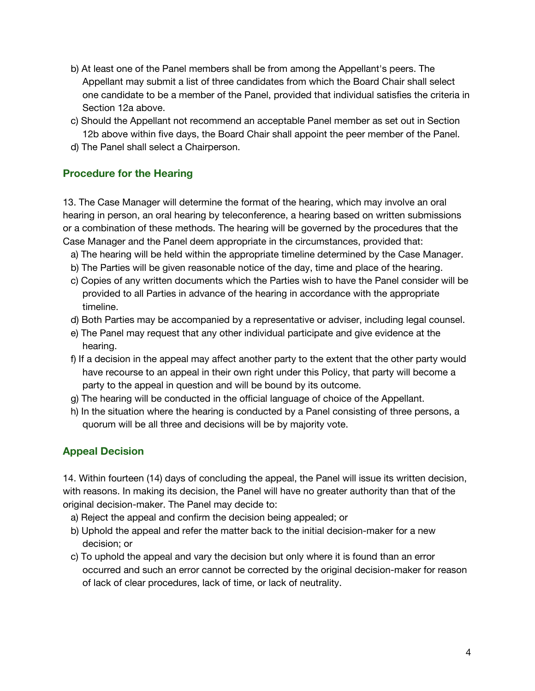- b) At least one of the Panel members shall be from among the Appellant's peers. The Appellant may submit a list of three candidates from which the Board Chair shall select one candidate to be a member of the Panel, provided that individual satisfies the criteria in Section 12a above.
- c) Should the Appellant not recommend an acceptable Panel member as set out in Section 12b above within five days, the Board Chair shall appoint the peer member of the Panel.
- d) The Panel shall select a Chairperson.

#### **Procedure for the Hearing**

13. The Case Manager will determine the format of the hearing, which may involve an oral hearing in person, an oral hearing by teleconference, a hearing based on written submissions or a combination of these methods. The hearing will be governed by the procedures that the Case Manager and the Panel deem appropriate in the circumstances, provided that:

- a) The hearing will be held within the appropriate timeline determined by the Case Manager.
- b) The Parties will be given reasonable notice of the day, time and place of the hearing.
- c) Copies of any written documents which the Parties wish to have the Panel consider will be provided to all Parties in advance of the hearing in accordance with the appropriate timeline.
- d) Both Parties may be accompanied by a representative or adviser, including legal counsel.
- e) The Panel may request that any other individual participate and give evidence at the hearing.
- f) If a decision in the appeal may affect another party to the extent that the other party would have recourse to an appeal in their own right under this Policy, that party will become a party to the appeal in question and will be bound by its outcome.
- g) The hearing will be conducted in the official language of choice of the Appellant.
- h) In the situation where the hearing is conducted by a Panel consisting of three persons, a quorum will be all three and decisions will be by majority vote.

# **Appeal Decision**

14. Within fourteen (14) days of concluding the appeal, the Panel will issue its written decision, with reasons. In making its decision, the Panel will have no greater authority than that of the original decision-maker. The Panel may decide to:

- a) Reject the appeal and confirm the decision being appealed; or
- b) Uphold the appeal and refer the matter back to the initial decision-maker for a new decision; or
- c) To uphold the appeal and vary the decision but only where it is found than an error occurred and such an error cannot be corrected by the original decision-maker for reason of lack of clear procedures, lack of time, or lack of neutrality.